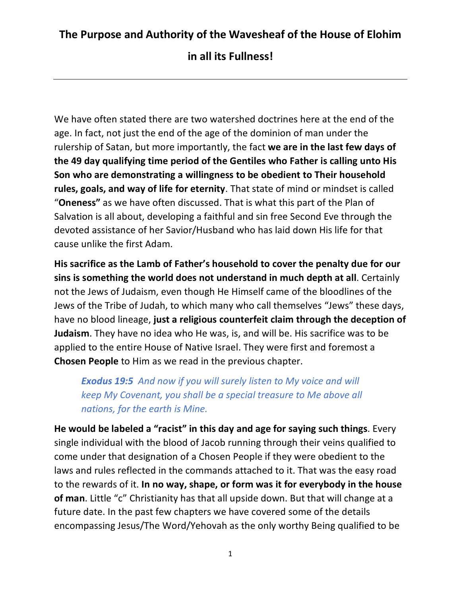**in all its Fullness!**

We have often stated there are two watershed doctrines here at the end of the age. In fact, not just the end of the age of the dominion of man under the rulership of Satan, but more importantly, the fact **we are in the last few days of the 49 day qualifying time period of the Gentiles who Father is calling unto His Son who are demonstrating a willingness to be obedient to Their household rules, goals, and way of life for eternity**. That state of mind or mindset is called "**Oneness"** as we have often discussed. That is what this part of the Plan of Salvation is all about, developing a faithful and sin free Second Eve through the devoted assistance of her Savior/Husband who has laid down His life for that cause unlike the first Adam.

**His sacrifice as the Lamb of Father's household to cover the penalty due for our sins is something the world does not understand in much depth at all**. Certainly not the Jews of Judaism, even though He Himself came of the bloodlines of the Jews of the Tribe of Judah, to which many who call themselves "Jews" these days, have no blood lineage, **just a religious counterfeit claim through the deception of Judaism**. They have no idea who He was, is, and will be. His sacrifice was to be applied to the entire House of Native Israel. They were first and foremost a **Chosen People** to Him as we read in the previous chapter.

*Exodus 19:5 And now if you will surely listen to My voice and will keep My Covenant, you shall be a special treasure to Me above all nations, for the earth is Mine.*

**He would be labeled a "racist" in this day and age for saying such things**. Every single individual with the blood of Jacob running through their veins qualified to come under that designation of a Chosen People if they were obedient to the laws and rules reflected in the commands attached to it. That was the easy road to the rewards of it. **In no way, shape, or form was it for everybody in the house of man**. Little "c" Christianity has that all upside down. But that will change at a future date. In the past few chapters we have covered some of the details encompassing Jesus/The Word/Yehovah as the only worthy Being qualified to be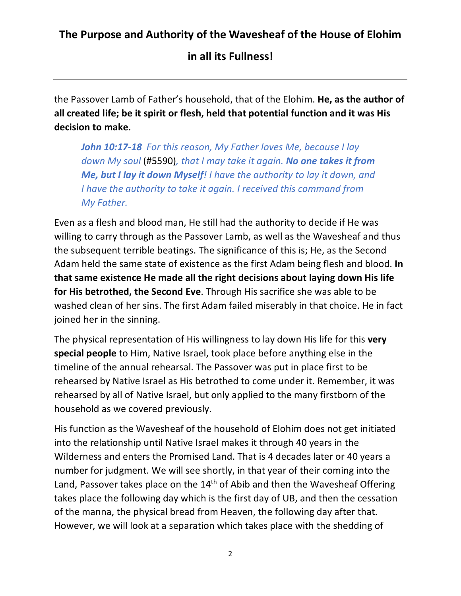#### **in all its Fullness!**

the Passover Lamb of Father's household, that of the Elohim. **He, as the author of all created life; be it spirit or flesh, held that potential function and it was His decision to make.** 

*John 10:17-18 For this reason, My Father loves Me, because I lay down My soul* (#5590)*, that I may take it again. No one takes it from Me, but I lay it down Myself! I have the authority to lay it down, and I have the authority to take it again. I received this command from My Father.*

Even as a flesh and blood man, He still had the authority to decide if He was willing to carry through as the Passover Lamb, as well as the Wavesheaf and thus the subsequent terrible beatings. The significance of this is; He, as the Second Adam held the same state of existence as the first Adam being flesh and blood. **In that same existence He made all the right decisions about laying down His life for His betrothed, the Second Eve**. Through His sacrifice she was able to be washed clean of her sins. The first Adam failed miserably in that choice. He in fact joined her in the sinning.

The physical representation of His willingness to lay down His life for this **very special people** to Him, Native Israel, took place before anything else in the timeline of the annual rehearsal. The Passover was put in place first to be rehearsed by Native Israel as His betrothed to come under it. Remember, it was rehearsed by all of Native Israel, but only applied to the many firstborn of the household as we covered previously.

His function as the Wavesheaf of the household of Elohim does not get initiated into the relationship until Native Israel makes it through 40 years in the Wilderness and enters the Promised Land. That is 4 decades later or 40 years a number for judgment. We will see shortly, in that year of their coming into the Land, Passover takes place on the  $14<sup>th</sup>$  of Abib and then the Wavesheaf Offering takes place the following day which is the first day of UB, and then the cessation of the manna, the physical bread from Heaven, the following day after that. However, we will look at a separation which takes place with the shedding of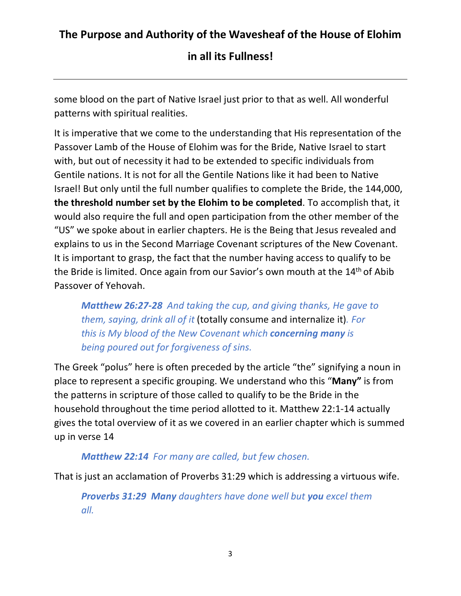**in all its Fullness!**

some blood on the part of Native Israel just prior to that as well. All wonderful patterns with spiritual realities.

It is imperative that we come to the understanding that His representation of the Passover Lamb of the House of Elohim was for the Bride, Native Israel to start with, but out of necessity it had to be extended to specific individuals from Gentile nations. It is not for all the Gentile Nations like it had been to Native Israel! But only until the full number qualifies to complete the Bride, the 144,000, **the threshold number set by the Elohim to be completed**. To accomplish that, it would also require the full and open participation from the other member of the "US" we spoke about in earlier chapters. He is the Being that Jesus revealed and explains to us in the Second Marriage Covenant scriptures of the New Covenant. It is important to grasp, the fact that the number having access to qualify to be the Bride is limited. Once again from our Savior's own mouth at the 14<sup>th</sup> of Abib Passover of Yehovah.

*Matthew 26:27-28 And taking the cup, and giving thanks, He gave to them, saying, drink all of it* (totally consume and internalize it)*. For this is My blood of the New Covenant which concerning many is being poured out for forgiveness of sins.*

The Greek "polus" here is often preceded by the article "the" signifying a noun in place to represent a specific grouping. We understand who this "**Many"** is from the patterns in scripture of those called to qualify to be the Bride in the household throughout the time period allotted to it. Matthew 22:1-14 actually gives the total overview of it as we covered in an earlier chapter which is summed up in verse 14

#### *Matthew 22:14 For many are called, but few chosen.*

That is just an acclamation of Proverbs 31:29 which is addressing a virtuous wife.

*Proverbs 31:29 Many daughters have done well but you excel them all.*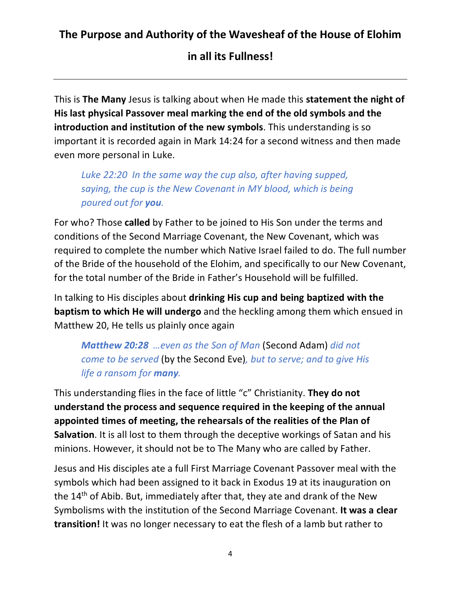**in all its Fullness!**

This is **The Many** Jesus is talking about when He made this **statement the night of His last physical Passover meal marking the end of the old symbols and the introduction and institution of the new symbols**. This understanding is so important it is recorded again in Mark 14:24 for a second witness and then made even more personal in Luke.

*Luke 22:20 In the same way the cup also, after having supped, saying, the cup is the New Covenant in MY blood, which is being poured out for you.*

For who? Those **called** by Father to be joined to His Son under the terms and conditions of the Second Marriage Covenant, the New Covenant, which was required to complete the number which Native Israel failed to do. The full number of the Bride of the household of the Elohim, and specifically to our New Covenant, for the total number of the Bride in Father's Household will be fulfilled.

In talking to His disciples about **drinking His cup and being baptized with the baptism to which He will undergo** and the heckling among them which ensued in Matthew 20, He tells us plainly once again

*Matthew 20:28 …even as the Son of Man* (Second Adam) *did not come to be served* (by the Second Eve)*, but to serve; and to give His life a ransom for many.* 

This understanding flies in the face of little "c" Christianity. **They do not understand the process and sequence required in the keeping of the annual appointed times of meeting, the rehearsals of the realities of the Plan of Salvation**. It is all lost to them through the deceptive workings of Satan and his minions. However, it should not be to The Many who are called by Father.

Jesus and His disciples ate a full First Marriage Covenant Passover meal with the symbols which had been assigned to it back in Exodus 19 at its inauguration on the 14th of Abib. But, immediately after that, they ate and drank of the New Symbolisms with the institution of the Second Marriage Covenant. **It was a clear transition!** It was no longer necessary to eat the flesh of a lamb but rather to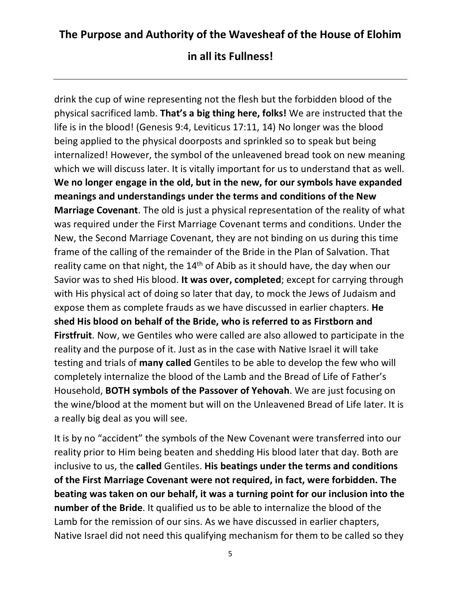drink the cup of wine representing not the flesh but the forbidden blood of the physical sacrificed lamb. **That's a big thing here, folks!** We are instructed that the life is in the blood! (Genesis 9:4, Leviticus 17:11, 14) No longer was the blood being applied to the physical doorposts and sprinkled so to speak but being internalized! However, the symbol of the unleavened bread took on new meaning which we will discuss later. It is vitally important for us to understand that as well. **We no longer engage in the old, but in the new, for our symbols have expanded meanings and understandings under the terms and conditions of the New Marriage Covenant**. The old is just a physical representation of the reality of what was required under the First Marriage Covenant terms and conditions. Under the New, the Second Marriage Covenant, they are not binding on us during this time frame of the calling of the remainder of the Bride in the Plan of Salvation. That reality came on that night, the  $14<sup>th</sup>$  of Abib as it should have, the day when our Savior was to shed His blood. **It was over, completed**; except for carrying through with His physical act of doing so later that day, to mock the Jews of Judaism and expose them as complete frauds as we have discussed in earlier chapters. **He shed His blood on behalf of the Bride, who is referred to as Firstborn and Firstfruit**. Now, we Gentiles who were called are also allowed to participate in the reality and the purpose of it. Just as in the case with Native Israel it will take testing and trials of **many called** Gentiles to be able to develop the few who will completely internalize the blood of the Lamb and the Bread of Life of Father's Household, **BOTH symbols of the Passover of Yehovah**. We are just focusing on the wine/blood at the moment but will on the Unleavened Bread of Life later. It is a really big deal as you will see.

It is by no "accident" the symbols of the New Covenant were transferred into our reality prior to Him being beaten and shedding His blood later that day. Both are inclusive to us, the **called** Gentiles. **His beatings under the terms and conditions of the First Marriage Covenant were not required, in fact, were forbidden. The beating was taken on our behalf, it was a turning point for our inclusion into the number of the Bride**. It qualified us to be able to internalize the blood of the Lamb for the remission of our sins. As we have discussed in earlier chapters, Native Israel did not need this qualifying mechanism for them to be called so they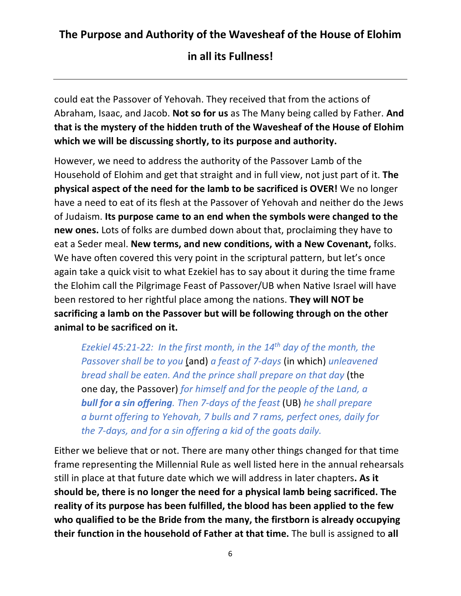**in all its Fullness!**

could eat the Passover of Yehovah. They received that from the actions of Abraham, Isaac, and Jacob. **Not so for us** as The Many being called by Father. **And that is the mystery of the hidden truth of the Wavesheaf of the House of Elohim which we will be discussing shortly, to its purpose and authority.** 

However, we need to address the authority of the Passover Lamb of the Household of Elohim and get that straight and in full view, not just part of it. **The physical aspect of the need for the lamb to be sacrificed is OVER!** We no longer have a need to eat of its flesh at the Passover of Yehovah and neither do the Jews of Judaism. **Its purpose came to an end when the symbols were changed to the new ones.** Lots of folks are dumbed down about that, proclaiming they have to eat a Seder meal. **New terms, and new conditions, with a New Covenant,** folks. We have often covered this very point in the scriptural pattern, but let's once again take a quick visit to what Ezekiel has to say about it during the time frame the Elohim call the Pilgrimage Feast of Passover/UB when Native Israel will have been restored to her rightful place among the nations. **They will NOT be sacrificing a lamb on the Passover but will be following through on the other animal to be sacrificed on it.**

*Ezekiel 45:21-22: In the first month, in the 14th day of the month, the Passover shall be to you* (and) *a feast of 7-days* (in which) *unleavened bread shall be eaten. And the prince shall prepare on that day* (the one day, the Passover) *for himself and for the people of the Land, a bull for a sin offering. Then 7-days of the feast* (UB) *he shall prepare a burnt offering to Yehovah, 7 bulls and 7 rams, perfect ones, daily for the 7-days, and for a sin offering a kid of the goats daily.*

Either we believe that or not. There are many other things changed for that time frame representing the Millennial Rule as well listed here in the annual rehearsals still in place at that future date which we will address in later chapters**. As it should be, there is no longer the need for a physical lamb being sacrificed. The reality of its purpose has been fulfilled, the blood has been applied to the few who qualified to be the Bride from the many, the firstborn is already occupying their function in the household of Father at that time.** The bull is assigned to **all**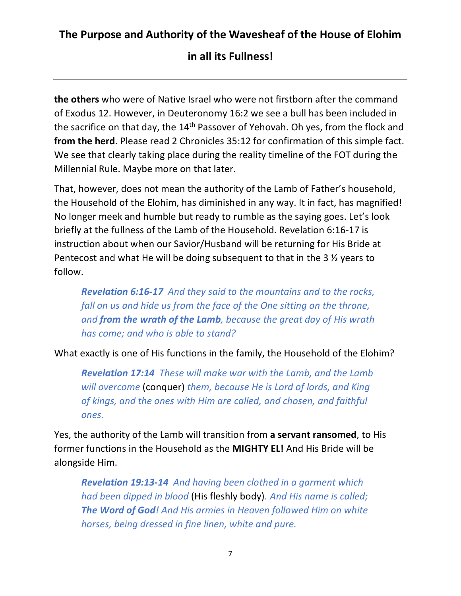**the others** who were of Native Israel who were not firstborn after the command of Exodus 12. However, in Deuteronomy 16:2 we see a bull has been included in the sacrifice on that day, the 14th Passover of Yehovah. Oh yes, from the flock and **from the herd**. Please read 2 Chronicles 35:12 for confirmation of this simple fact. We see that clearly taking place during the reality timeline of the FOT during the Millennial Rule. Maybe more on that later.

That, however, does not mean the authority of the Lamb of Father's household, the Household of the Elohim, has diminished in any way. It in fact, has magnified! No longer meek and humble but ready to rumble as the saying goes. Let's look briefly at the fullness of the Lamb of the Household. Revelation 6:16-17 is instruction about when our Savior/Husband will be returning for His Bride at Pentecost and what He will be doing subsequent to that in the 3 ½ years to follow.

*Revelation 6:16-17 And they said to the mountains and to the rocks, fall on us and hide us from the face of the One sitting on the throne, and from the wrath of the Lamb, because the great day of His wrath has come; and who is able to stand?*

What exactly is one of His functions in the family, the Household of the Elohim?

*Revelation 17:14 These will make war with the Lamb, and the Lamb will overcome* (conquer) *them, because He is Lord of lords, and King of kings, and the ones with Him are called, and chosen, and faithful ones.*

Yes, the authority of the Lamb will transition from **a servant ransomed**, to His former functions in the Household as the **MIGHTY EL!** And His Bride will be alongside Him.

*Revelation 19:13-14 And having been clothed in a garment which had been dipped in blood* (His fleshly body)*. And His name is called; The Word of God! And His armies in Heaven followed Him on white horses, being dressed in fine linen, white and pure.*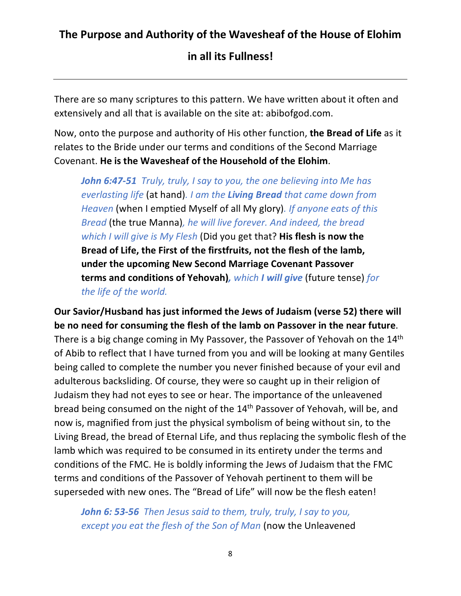There are so many scriptures to this pattern. We have written about it often and extensively and all that is available on the site at: abibofgod.com.

Now, onto the purpose and authority of His other function, **the Bread of Life** as it relates to the Bride under our terms and conditions of the Second Marriage Covenant. **He is the Wavesheaf of the Household of the Elohim**.

*John 6:47-51 Truly, truly, I say to you, the one believing into Me has everlasting life* (at hand)*. I am the Living Bread that came down from Heaven* (when I emptied Myself of all My glory). If anyone eats of this *Bread* (the true Manna)*, he will live forever. And indeed, the bread which I will give is My Flesh* (Did you get that? **His flesh is now the Bread of Life, the First of the firstfruits, not the flesh of the lamb, under the upcoming New Second Marriage Covenant Passover terms and conditions of Yehovah)***, which I will give* (future tense) *for the life of the world.*

**Our Savior/Husband has just informed the Jews of Judaism (verse 52) there will be no need for consuming the flesh of the lamb on Passover in the near future**. There is a big change coming in My Passover, the Passover of Yehovah on the 14<sup>th</sup> of Abib to reflect that I have turned from you and will be looking at many Gentiles being called to complete the number you never finished because of your evil and adulterous backsliding. Of course, they were so caught up in their religion of Judaism they had not eyes to see or hear. The importance of the unleavened bread being consumed on the night of the 14th Passover of Yehovah, will be, and now is, magnified from just the physical symbolism of being without sin, to the Living Bread, the bread of Eternal Life, and thus replacing the symbolic flesh of the lamb which was required to be consumed in its entirety under the terms and conditions of the FMC. He is boldly informing the Jews of Judaism that the FMC terms and conditions of the Passover of Yehovah pertinent to them will be superseded with new ones. The "Bread of Life" will now be the flesh eaten!

*John 6: 53-56 Then Jesus said to them, truly, truly, I say to you, except you eat the flesh of the Son of Man* (now the Unleavened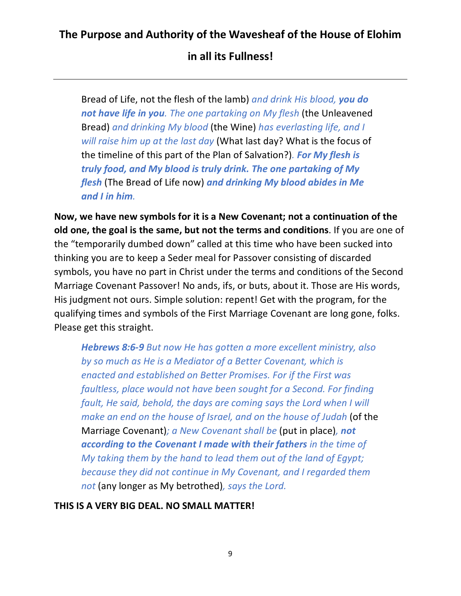**in all its Fullness!**

Bread of Life, not the flesh of the lamb) *and drink His blood, you do not have life in you. The one partaking on My flesh* (the Unleavened Bread) *and drinking My blood* (the Wine) *has everlasting life, and I will raise him up at the last day* (What last day? What is the focus of the timeline of this part of the Plan of Salvation?)*. For My flesh is truly food, and My blood is truly drink. The one partaking of My flesh* (The Bread of Life now) *and drinking My blood abides in Me and I in him.*

**Now, we have new symbols for it is a New Covenant; not a continuation of the old one, the goal is the same, but not the terms and conditions**. If you are one of the "temporarily dumbed down" called at this time who have been sucked into thinking you are to keep a Seder meal for Passover consisting of discarded symbols, you have no part in Christ under the terms and conditions of the Second Marriage Covenant Passover! No ands, ifs, or buts, about it. Those are His words, His judgment not ours. Simple solution: repent! Get with the program, for the qualifying times and symbols of the First Marriage Covenant are long gone, folks. Please get this straight.

*Hebrews 8:6-9 But now He has gotten a more excellent ministry, also by so much as He is a Mediator of a Better Covenant, which is enacted and established on Better Promises. For if the First was faultless, place would not have been sought for a Second. For finding fault, He said, behold, the days are coming says the Lord when I will make an end on the house of Israel, and on the house of Judah* (of the Marriage Covenant)*; a New Covenant shall be* (put in place)*, not according to the Covenant I made with their fathers in the time of My taking them by the hand to lead them out of the land of Egypt; because they did not continue in My Covenant, and I regarded them not* (any longer as My betrothed)*, says the Lord.*

**THIS IS A VERY BIG DEAL. NO SMALL MATTER!**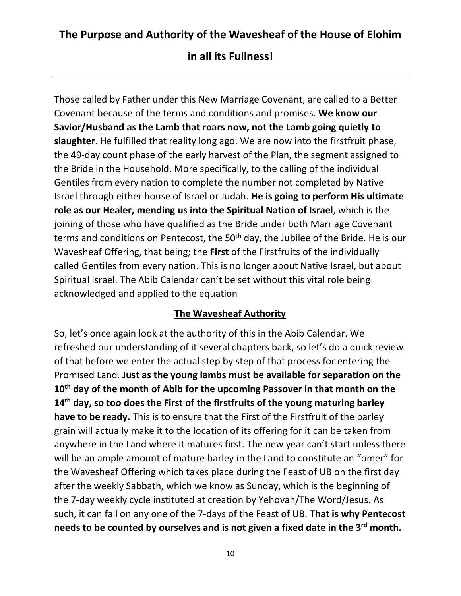**in all its Fullness!**

Those called by Father under this New Marriage Covenant, are called to a Better Covenant because of the terms and conditions and promises. **We know our Savior/Husband as the Lamb that roars now, not the Lamb going quietly to slaughter**. He fulfilled that reality long ago. We are now into the firstfruit phase, the 49-day count phase of the early harvest of the Plan, the segment assigned to the Bride in the Household. More specifically, to the calling of the individual Gentiles from every nation to complete the number not completed by Native Israel through either house of Israel or Judah. **He is going to perform His ultimate role as our Healer, mending us into the Spiritual Nation of Israel**, which is the joining of those who have qualified as the Bride under both Marriage Covenant terms and conditions on Pentecost, the 50<sup>th</sup> day, the Jubilee of the Bride. He is our Wavesheaf Offering, that being; the **First** of the Firstfruits of the individually called Gentiles from every nation. This is no longer about Native Israel, but about Spiritual Israel. The Abib Calendar can't be set without this vital role being acknowledged and applied to the equation

#### **The Wavesheaf Authority**

So, let's once again look at the authority of this in the Abib Calendar. We refreshed our understanding of it several chapters back, so let's do a quick review of that before we enter the actual step by step of that process for entering the Promised Land. **Just as the young lambs must be available for separation on the 10th day of the month of Abib for the upcoming Passover in that month on the 14th day, so too does the First of the firstfruits of the young maturing barley have to be ready.** This is to ensure that the First of the Firstfruit of the barley grain will actually make it to the location of its offering for it can be taken from anywhere in the Land where it matures first. The new year can't start unless there will be an ample amount of mature barley in the Land to constitute an "omer" for the Wavesheaf Offering which takes place during the Feast of UB on the first day after the weekly Sabbath, which we know as Sunday, which is the beginning of the 7-day weekly cycle instituted at creation by Yehovah/The Word/Jesus. As such, it can fall on any one of the 7-days of the Feast of UB. **That is why Pentecost needs to be counted by ourselves and is not given a fixed date in the 3rd month.**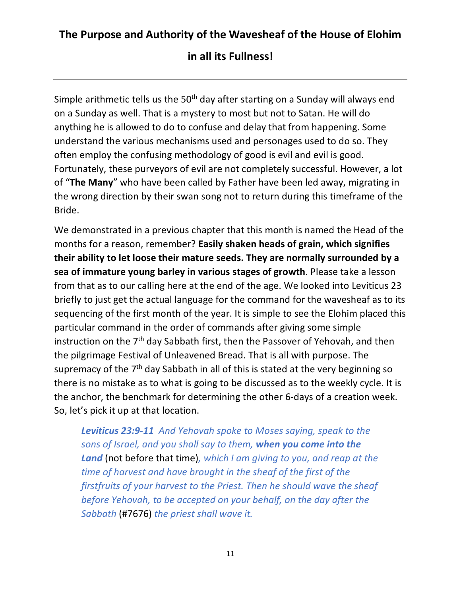Simple arithmetic tells us the  $50<sup>th</sup>$  day after starting on a Sunday will always end on a Sunday as well. That is a mystery to most but not to Satan. He will do anything he is allowed to do to confuse and delay that from happening. Some understand the various mechanisms used and personages used to do so. They often employ the confusing methodology of good is evil and evil is good. Fortunately, these purveyors of evil are not completely successful. However, a lot of "**The Many**" who have been called by Father have been led away, migrating in the wrong direction by their swan song not to return during this timeframe of the Bride.

We demonstrated in a previous chapter that this month is named the Head of the months for a reason, remember? **Easily shaken heads of grain, which signifies their ability to let loose their mature seeds. They are normally surrounded by a sea of immature young barley in various stages of growth**. Please take a lesson from that as to our calling here at the end of the age. We looked into Leviticus 23 briefly to just get the actual language for the command for the wavesheaf as to its sequencing of the first month of the year. It is simple to see the Elohim placed this particular command in the order of commands after giving some simple instruction on the 7th day Sabbath first, then the Passover of Yehovah, and then the pilgrimage Festival of Unleavened Bread. That is all with purpose. The supremacy of the  $7<sup>th</sup>$  day Sabbath in all of this is stated at the very beginning so there is no mistake as to what is going to be discussed as to the weekly cycle. It is the anchor, the benchmark for determining the other 6-days of a creation week. So, let's pick it up at that location.

*Leviticus 23:9-11 And Yehovah spoke to Moses saying, speak to the sons of Israel, and you shall say to them, when you come into the Land* (not before that time)*, which I am giving to you, and reap at the time of harvest and have brought in the sheaf of the first of the firstfruits of your harvest to the Priest. Then he should wave the sheaf before Yehovah, to be accepted on your behalf, on the day after the Sabbath* (#7676) *the priest shall wave it.*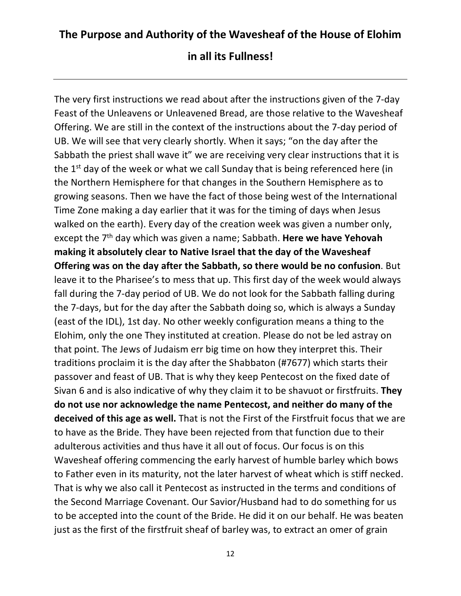The very first instructions we read about after the instructions given of the 7-day Feast of the Unleavens or Unleavened Bread, are those relative to the Wavesheaf Offering. We are still in the context of the instructions about the 7-day period of UB. We will see that very clearly shortly. When it says; "on the day after the Sabbath the priest shall wave it" we are receiving very clear instructions that it is the 1<sup>st</sup> day of the week or what we call Sunday that is being referenced here (in the Northern Hemisphere for that changes in the Southern Hemisphere as to growing seasons. Then we have the fact of those being west of the International Time Zone making a day earlier that it was for the timing of days when Jesus walked on the earth). Every day of the creation week was given a number only, except the 7th day which was given a name; Sabbath. **Here we have Yehovah making it absolutely clear to Native Israel that the day of the Wavesheaf Offering was on the day after the Sabbath, so there would be no confusion**. But leave it to the Pharisee's to mess that up. This first day of the week would always fall during the 7-day period of UB. We do not look for the Sabbath falling during the 7-days, but for the day after the Sabbath doing so, which is always a Sunday (east of the IDL), 1st day. No other weekly configuration means a thing to the Elohim, only the one They instituted at creation. Please do not be led astray on that point. The Jews of Judaism err big time on how they interpret this. Their traditions proclaim it is the day after the Shabbaton (#7677) which starts their passover and feast of UB. That is why they keep Pentecost on the fixed date of Sivan 6 and is also indicative of why they claim it to be shavuot or firstfruits. **They do not use nor acknowledge the name Pentecost, and neither do many of the deceived of this age as well.** That is not the First of the Firstfruit focus that we are to have as the Bride. They have been rejected from that function due to their adulterous activities and thus have it all out of focus. Our focus is on this Wavesheaf offering commencing the early harvest of humble barley which bows to Father even in its maturity, not the later harvest of wheat which is stiff necked. That is why we also call it Pentecost as instructed in the terms and conditions of the Second Marriage Covenant. Our Savior/Husband had to do something for us to be accepted into the count of the Bride. He did it on our behalf. He was beaten just as the first of the firstfruit sheaf of barley was, to extract an omer of grain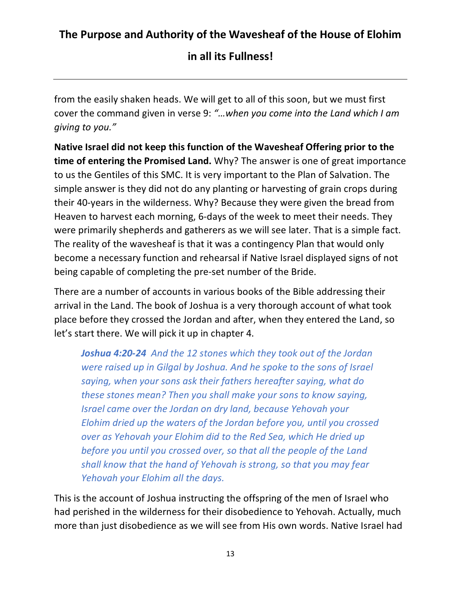#### **in all its Fullness!**

from the easily shaken heads. We will get to all of this soon, but we must first cover the command given in verse 9: *"…when you come into the Land which I am giving to you."*

**Native Israel did not keep this function of the Wavesheaf Offering prior to the time of entering the Promised Land.** Why? The answer is one of great importance to us the Gentiles of this SMC. It is very important to the Plan of Salvation. The simple answer is they did not do any planting or harvesting of grain crops during their 40-years in the wilderness. Why? Because they were given the bread from Heaven to harvest each morning, 6-days of the week to meet their needs. They were primarily shepherds and gatherers as we will see later. That is a simple fact. The reality of the wavesheaf is that it was a contingency Plan that would only become a necessary function and rehearsal if Native Israel displayed signs of not being capable of completing the pre-set number of the Bride.

There are a number of accounts in various books of the Bible addressing their arrival in the Land. The book of Joshua is a very thorough account of what took place before they crossed the Jordan and after, when they entered the Land, so let's start there. We will pick it up in chapter 4.

*Joshua 4:20-24 And the 12 stones which they took out of the Jordan were raised up in Gilgal by Joshua. And he spoke to the sons of Israel saying, when your sons ask their fathers hereafter saying, what do these stones mean? Then you shall make your sons to know saying, Israel came over the Jordan on dry land, because Yehovah your Elohim dried up the waters of the Jordan before you, until you crossed over as Yehovah your Elohim did to the Red Sea, which He dried up before you until you crossed over, so that all the people of the Land shall know that the hand of Yehovah is strong, so that you may fear Yehovah your Elohim all the days.*

This is the account of Joshua instructing the offspring of the men of Israel who had perished in the wilderness for their disobedience to Yehovah. Actually, much more than just disobedience as we will see from His own words. Native Israel had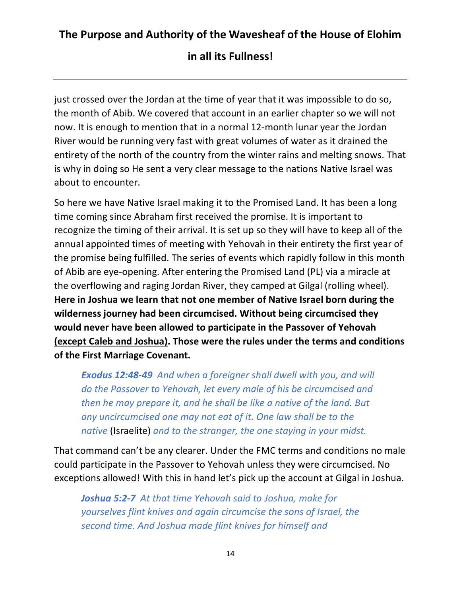just crossed over the Jordan at the time of year that it was impossible to do so, the month of Abib. We covered that account in an earlier chapter so we will not now. It is enough to mention that in a normal 12-month lunar year the Jordan River would be running very fast with great volumes of water as it drained the entirety of the north of the country from the winter rains and melting snows. That is why in doing so He sent a very clear message to the nations Native Israel was about to encounter.

So here we have Native Israel making it to the Promised Land. It has been a long time coming since Abraham first received the promise. It is important to recognize the timing of their arrival. It is set up so they will have to keep all of the annual appointed times of meeting with Yehovah in their entirety the first year of the promise being fulfilled. The series of events which rapidly follow in this month of Abib are eye-opening. After entering the Promised Land (PL) via a miracle at the overflowing and raging Jordan River, they camped at Gilgal (rolling wheel). **Here in Joshua we learn that not one member of Native Israel born during the wilderness journey had been circumcised. Without being circumcised they would never have been allowed to participate in the Passover of Yehovah (except Caleb and Joshua). Those were the rules under the terms and conditions of the First Marriage Covenant.** 

*Exodus 12:48-49 And when a foreigner shall dwell with you, and will do the Passover to Yehovah, let every male of his be circumcised and then he may prepare it, and he shall be like a native of the land. But any uncircumcised one may not eat of it. One law shall be to the native* (Israelite) *and to the stranger, the one staying in your midst.*

That command can't be any clearer. Under the FMC terms and conditions no male could participate in the Passover to Yehovah unless they were circumcised. No exceptions allowed! With this in hand let's pick up the account at Gilgal in Joshua.

*Joshua 5:2-7 At that time Yehovah said to Joshua, make for yourselves flint knives and again circumcise the sons of Israel, the second time. And Joshua made flint knives for himself and*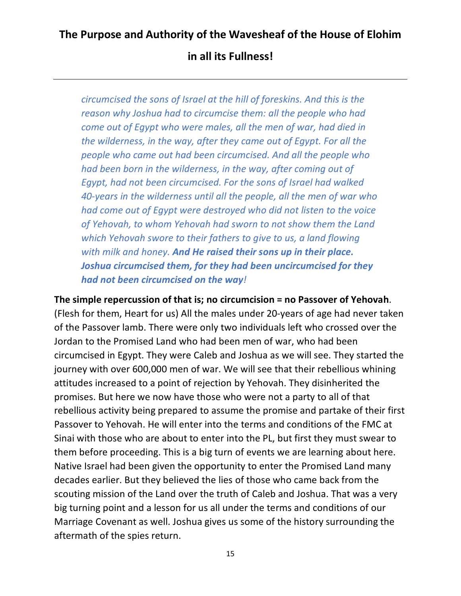*circumcised the sons of Israel at the hill of foreskins. And this is the reason why Joshua had to circumcise them: all the people who had come out of Egypt who were males, all the men of war, had died in the wilderness, in the way, after they came out of Egypt. For all the people who came out had been circumcised. And all the people who had been born in the wilderness, in the way, after coming out of Egypt, had not been circumcised. For the sons of Israel had walked 40-years in the wilderness until all the people, all the men of war who had come out of Egypt were destroyed who did not listen to the voice of Yehovah, to whom Yehovah had sworn to not show them the Land which Yehovah swore to their fathers to give to us, a land flowing with milk and honey. And He raised their sons up in their place. Joshua circumcised them, for they had been uncircumcised for they had not been circumcised on the way!*

**The simple repercussion of that is; no circumcision = no Passover of Yehovah**. (Flesh for them, Heart for us) All the males under 20-years of age had never taken of the Passover lamb. There were only two individuals left who crossed over the Jordan to the Promised Land who had been men of war, who had been circumcised in Egypt. They were Caleb and Joshua as we will see. They started the journey with over 600,000 men of war. We will see that their rebellious whining attitudes increased to a point of rejection by Yehovah. They disinherited the promises. But here we now have those who were not a party to all of that rebellious activity being prepared to assume the promise and partake of their first Passover to Yehovah. He will enter into the terms and conditions of the FMC at Sinai with those who are about to enter into the PL, but first they must swear to them before proceeding. This is a big turn of events we are learning about here. Native Israel had been given the opportunity to enter the Promised Land many decades earlier. But they believed the lies of those who came back from the scouting mission of the Land over the truth of Caleb and Joshua. That was a very big turning point and a lesson for us all under the terms and conditions of our Marriage Covenant as well. Joshua gives us some of the history surrounding the aftermath of the spies return.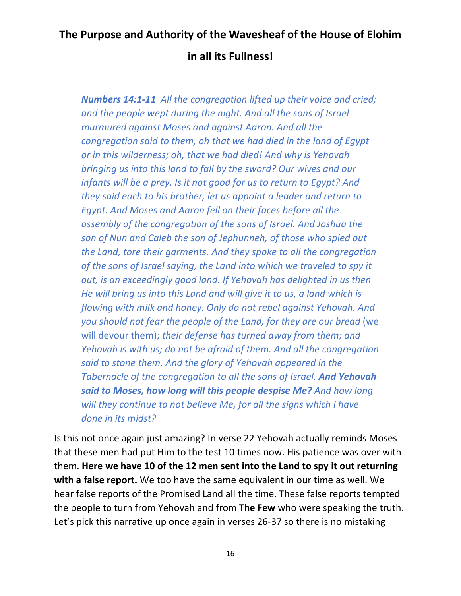*Numbers 14:1-11 All the congregation lifted up their voice and cried; and the people wept during the night. And all the sons of Israel murmured against Moses and against Aaron. And all the congregation said to them, oh that we had died in the land of Egypt or in this wilderness; oh, that we had died! And why is Yehovah bringing us into this land to fall by the sword? Our wives and our infants will be a prey. Is it not good for us to return to Egypt? And they said each to his brother, let us appoint a leader and return to Egypt. And Moses and Aaron fell on their faces before all the assembly of the congregation of the sons of Israel. And Joshua the son of Nun and Caleb the son of Jephunneh, of those who spied out the Land, tore their garments. And they spoke to all the congregation of the sons of Israel saying, the Land into which we traveled to spy it out, is an exceedingly good land. If Yehovah has delighted in us then He will bring us into this Land and will give it to us, a land which is flowing with milk and honey. Only do not rebel against Yehovah. And you should not fear the people of the Land, for they are our bread* (we will devour them)*; their defense has turned away from them; and Yehovah is with us; do not be afraid of them. And all the congregation said to stone them. And the glory of Yehovah appeared in the Tabernacle of the congregation to all the sons of Israel. And Yehovah said to Moses, how long will this people despise Me? And how long will they continue to not believe Me, for all the signs which I have done in its midst?*

Is this not once again just amazing? In verse 22 Yehovah actually reminds Moses that these men had put Him to the test 10 times now. His patience was over with them. **Here we have 10 of the 12 men sent into the Land to spy it out returning with a false report.** We too have the same equivalent in our time as well. We hear false reports of the Promised Land all the time. These false reports tempted the people to turn from Yehovah and from **The Few** who were speaking the truth. Let's pick this narrative up once again in verses 26-37 so there is no mistaking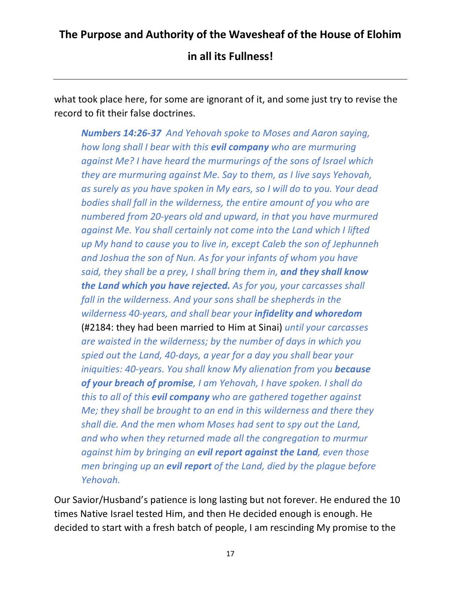**in all its Fullness!**

what took place here, for some are ignorant of it, and some just try to revise the record to fit their false doctrines.

*Numbers 14:26-37 And Yehovah spoke to Moses and Aaron saying, how long shall I bear with this evil company who are murmuring against Me? I have heard the murmurings of the sons of Israel which they are murmuring against Me. Say to them, as I live says Yehovah, as surely as you have spoken in My ears, so I will do to you. Your dead bodies shall fall in the wilderness, the entire amount of you who are numbered from 20-years old and upward, in that you have murmured against Me. You shall certainly not come into the Land which I lifted up My hand to cause you to live in, except Caleb the son of Jephunneh and Joshua the son of Nun. As for your infants of whom you have said, they shall be a prey, I shall bring them in, and they shall know the Land which you have rejected. As for you, your carcasses shall fall in the wilderness. And your sons shall be shepherds in the wilderness 40-years, and shall bear your infidelity and whoredom* (#2184: they had been married to Him at Sinai) *until your carcasses are waisted in the wilderness; by the number of days in which you spied out the Land, 40-days, a year for a day you shall bear your iniquities: 40-years. You shall know My alienation from you because of your breach of promise, I am Yehovah, I have spoken. I shall do this to all of this evil company who are gathered together against Me; they shall be brought to an end in this wilderness and there they shall die. And the men whom Moses had sent to spy out the Land, and who when they returned made all the congregation to murmur against him by bringing an evil report against the Land, even those men bringing up an evil report of the Land, died by the plague before Yehovah.*

Our Savior/Husband's patience is long lasting but not forever. He endured the 10 times Native Israel tested Him, and then He decided enough is enough. He decided to start with a fresh batch of people, I am rescinding My promise to the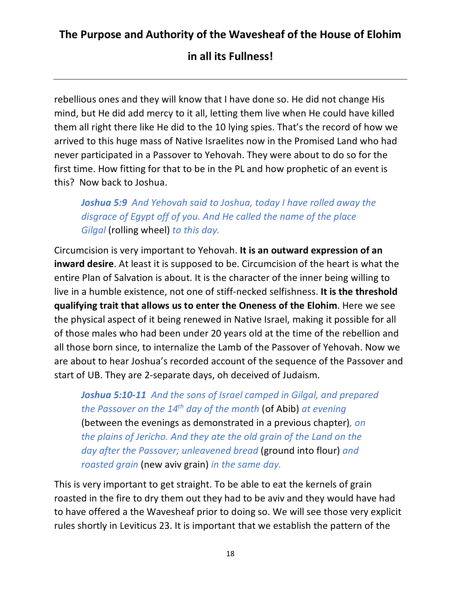#### **in all its Fullness!**

rebellious ones and they will know that I have done so. He did not change His mind, but He did add mercy to it all, letting them live when He could have killed them all right there like He did to the 10 lying spies. That's the record of how we arrived to this huge mass of Native Israelites now in the Promised Land who had never participated in a Passover to Yehovah. They were about to do so for the first time. How fitting for that to be in the PL and how prophetic of an event is this? Now back to Joshua.

*Joshua 5:9 And Yehovah said to Joshua, today I have rolled away the disgrace of Egypt off of you. And He called the name of the place Gilgal* (rolling wheel) *to this day.*

Circumcision is very important to Yehovah. **It is an outward expression of an inward desire**. At least it is supposed to be. Circumcision of the heart is what the entire Plan of Salvation is about. It is the character of the inner being willing to live in a humble existence, not one of stiff-necked selfishness. **It is the threshold qualifying trait that allows us to enter the Oneness of the Elohim**. Here we see the physical aspect of it being renewed in Native Israel, making it possible for all of those males who had been under 20 years old at the time of the rebellion and all those born since, to internalize the Lamb of the Passover of Yehovah. Now we are about to hear Joshua's recorded account of the sequence of the Passover and start of UB. They are 2-separate days, oh deceived of Judaism.

*Joshua 5:10-11 And the sons of Israel camped in Gilgal, and prepared the Passover on the 14th day of the month* (of Abib) *at evening* (between the evenings as demonstrated in a previous chapter)*, on the plains of Jericho. And they ate the old grain of the Land on the day after the Passover; unleavened bread* (ground into flour) *and roasted grain* (new aviv grain) *in the same day.*

This is very important to get straight. To be able to eat the kernels of grain roasted in the fire to dry them out they had to be aviv and they would have had to have offered a the Wavesheaf prior to doing so. We will see those very explicit rules shortly in Leviticus 23. It is important that we establish the pattern of the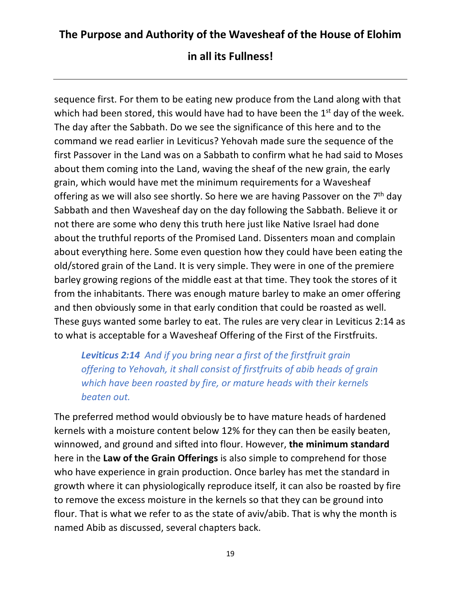sequence first. For them to be eating new produce from the Land along with that which had been stored, this would have had to have been the  $1<sup>st</sup>$  day of the week. The day after the Sabbath. Do we see the significance of this here and to the command we read earlier in Leviticus? Yehovah made sure the sequence of the first Passover in the Land was on a Sabbath to confirm what he had said to Moses about them coming into the Land, waving the sheaf of the new grain, the early grain, which would have met the minimum requirements for a Wavesheaf offering as we will also see shortly. So here we are having Passover on the  $7<sup>th</sup>$  day Sabbath and then Wavesheaf day on the day following the Sabbath. Believe it or not there are some who deny this truth here just like Native Israel had done about the truthful reports of the Promised Land. Dissenters moan and complain about everything here. Some even question how they could have been eating the old/stored grain of the Land. It is very simple. They were in one of the premiere barley growing regions of the middle east at that time. They took the stores of it from the inhabitants. There was enough mature barley to make an omer offering and then obviously some in that early condition that could be roasted as well. These guys wanted some barley to eat. The rules are very clear in Leviticus 2:14 as to what is acceptable for a Wavesheaf Offering of the First of the Firstfruits.

*Leviticus 2:14 And if you bring near a first of the firstfruit grain offering to Yehovah, it shall consist of firstfruits of abib heads of grain which have been roasted by fire, or mature heads with their kernels beaten out.*

The preferred method would obviously be to have mature heads of hardened kernels with a moisture content below 12% for they can then be easily beaten, winnowed, and ground and sifted into flour. However, **the minimum standard** here in the **Law of the Grain Offerings** is also simple to comprehend for those who have experience in grain production. Once barley has met the standard in growth where it can physiologically reproduce itself, it can also be roasted by fire to remove the excess moisture in the kernels so that they can be ground into flour. That is what we refer to as the state of aviv/abib. That is why the month is named Abib as discussed, several chapters back.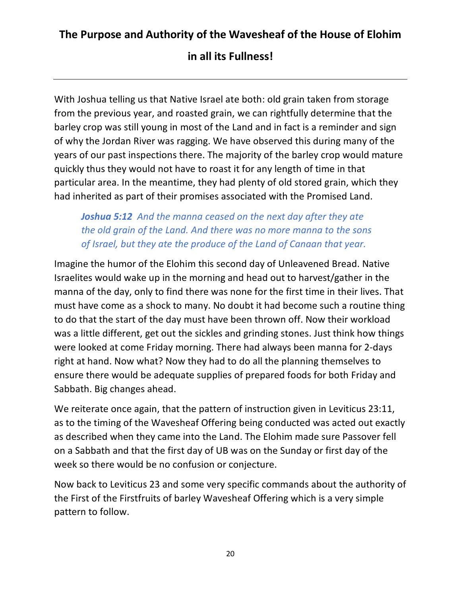#### **in all its Fullness!**

With Joshua telling us that Native Israel ate both: old grain taken from storage from the previous year, and roasted grain, we can rightfully determine that the barley crop was still young in most of the Land and in fact is a reminder and sign of why the Jordan River was ragging. We have observed this during many of the years of our past inspections there. The majority of the barley crop would mature quickly thus they would not have to roast it for any length of time in that particular area. In the meantime, they had plenty of old stored grain, which they had inherited as part of their promises associated with the Promised Land.

*Joshua 5:12 And the manna ceased on the next day after they ate the old grain of the Land. And there was no more manna to the sons of Israel, but they ate the produce of the Land of Canaan that year.*

Imagine the humor of the Elohim this second day of Unleavened Bread. Native Israelites would wake up in the morning and head out to harvest/gather in the manna of the day, only to find there was none for the first time in their lives. That must have come as a shock to many. No doubt it had become such a routine thing to do that the start of the day must have been thrown off. Now their workload was a little different, get out the sickles and grinding stones. Just think how things were looked at come Friday morning. There had always been manna for 2-days right at hand. Now what? Now they had to do all the planning themselves to ensure there would be adequate supplies of prepared foods for both Friday and Sabbath. Big changes ahead.

We reiterate once again, that the pattern of instruction given in Leviticus 23:11, as to the timing of the Wavesheaf Offering being conducted was acted out exactly as described when they came into the Land. The Elohim made sure Passover fell on a Sabbath and that the first day of UB was on the Sunday or first day of the week so there would be no confusion or conjecture.

Now back to Leviticus 23 and some very specific commands about the authority of the First of the Firstfruits of barley Wavesheaf Offering which is a very simple pattern to follow.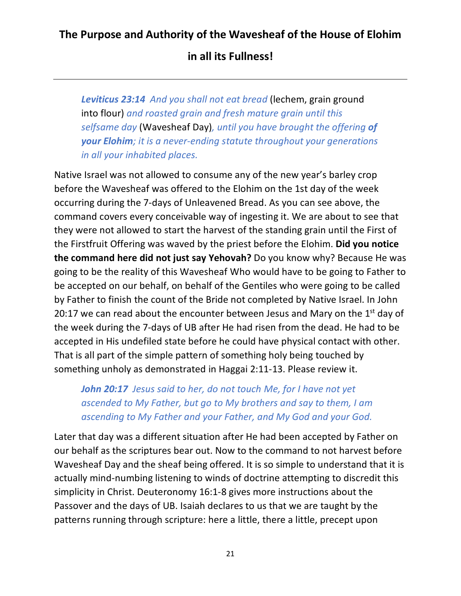**in all its Fullness!**

*Leviticus 23:14 And you shall not eat bread* (lechem, grain ground into flour) *and roasted grain and fresh mature grain until this selfsame day* (Wavesheaf Day)*, until you have brought the offering of your Elohim; it is a never-ending statute throughout your generations in all your inhabited places.*

Native Israel was not allowed to consume any of the new year's barley crop before the Wavesheaf was offered to the Elohim on the 1st day of the week occurring during the 7-days of Unleavened Bread. As you can see above, the command covers every conceivable way of ingesting it. We are about to see that they were not allowed to start the harvest of the standing grain until the First of the Firstfruit Offering was waved by the priest before the Elohim. **Did you notice the command here did not just say Yehovah?** Do you know why? Because He was going to be the reality of this Wavesheaf Who would have to be going to Father to be accepted on our behalf, on behalf of the Gentiles who were going to be called by Father to finish the count of the Bride not completed by Native Israel. In John 20:17 we can read about the encounter between Jesus and Mary on the  $1<sup>st</sup>$  day of the week during the 7-days of UB after He had risen from the dead. He had to be accepted in His undefiled state before he could have physical contact with other. That is all part of the simple pattern of something holy being touched by something unholy as demonstrated in Haggai 2:11-13. Please review it.

*John 20:17 Jesus said to her, do not touch Me, for I have not yet ascended to My Father, but go to My brothers and say to them, I am ascending to My Father and your Father, and My God and your God.*

Later that day was a different situation after He had been accepted by Father on our behalf as the scriptures bear out. Now to the command to not harvest before Wavesheaf Day and the sheaf being offered. It is so simple to understand that it is actually mind-numbing listening to winds of doctrine attempting to discredit this simplicity in Christ. Deuteronomy 16:1-8 gives more instructions about the Passover and the days of UB. Isaiah declares to us that we are taught by the patterns running through scripture: here a little, there a little, precept upon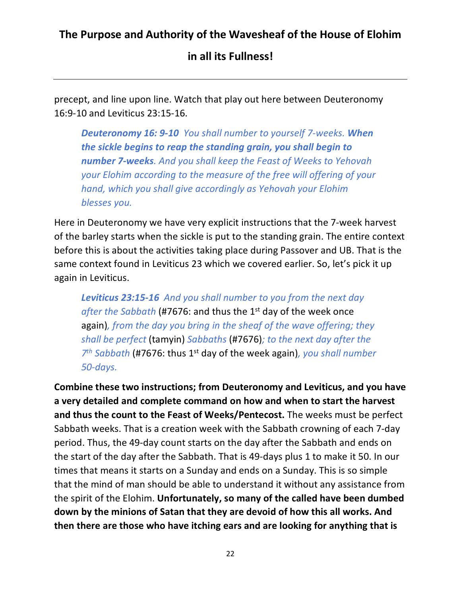**in all its Fullness!**

precept, and line upon line. Watch that play out here between Deuteronomy 16:9-10 and Leviticus 23:15-16.

*Deuteronomy 16: 9-10 You shall number to yourself 7-weeks. When the sickle begins to reap the standing grain, you shall begin to number 7-weeks. And you shall keep the Feast of Weeks to Yehovah your Elohim according to the measure of the free will offering of your hand, which you shall give accordingly as Yehovah your Elohim blesses you.*

Here in Deuteronomy we have very explicit instructions that the 7-week harvest of the barley starts when the sickle is put to the standing grain. The entire context before this is about the activities taking place during Passover and UB. That is the same context found in Leviticus 23 which we covered earlier. So, let's pick it up again in Leviticus.

*Leviticus 23:15-16 And you shall number to you from the next day after the Sabbath* (#7676: and thus the 1st day of the week once again)*, from the day you bring in the sheaf of the wave offering; they shall be perfect* (tamyin) *Sabbaths* (#7676)*; to the next day after the 7th Sabbath* (#7676: thus 1st day of the week again)*, you shall number 50-days.*

**Combine these two instructions; from Deuteronomy and Leviticus, and you have a very detailed and complete command on how and when to start the harvest and thus the count to the Feast of Weeks/Pentecost.** The weeks must be perfect Sabbath weeks. That is a creation week with the Sabbath crowning of each 7-day period. Thus, the 49-day count starts on the day after the Sabbath and ends on the start of the day after the Sabbath. That is 49-days plus 1 to make it 50. In our times that means it starts on a Sunday and ends on a Sunday. This is so simple that the mind of man should be able to understand it without any assistance from the spirit of the Elohim. **Unfortunately, so many of the called have been dumbed down by the minions of Satan that they are devoid of how this all works. And then there are those who have itching ears and are looking for anything that is**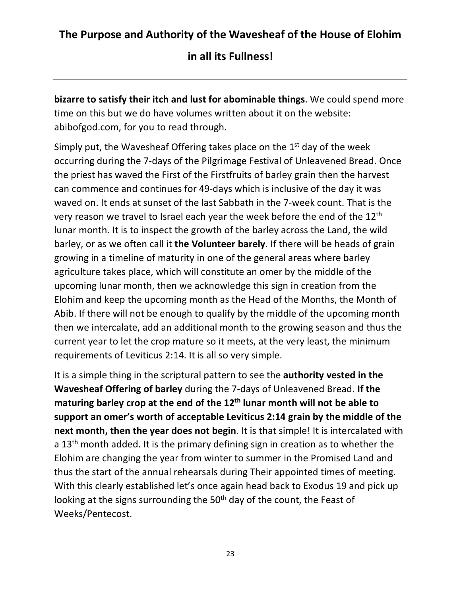**in all its Fullness!**

**bizarre to satisfy their itch and lust for abominable things**. We could spend more time on this but we do have volumes written about it on the website: abibofgod.com, for you to read through.

Simply put, the Wavesheaf Offering takes place on the 1<sup>st</sup> day of the week occurring during the 7-days of the Pilgrimage Festival of Unleavened Bread. Once the priest has waved the First of the Firstfruits of barley grain then the harvest can commence and continues for 49-days which is inclusive of the day it was waved on. It ends at sunset of the last Sabbath in the 7-week count. That is the very reason we travel to Israel each year the week before the end of the 12<sup>th</sup> lunar month. It is to inspect the growth of the barley across the Land, the wild barley, or as we often call it **the Volunteer barely**. If there will be heads of grain growing in a timeline of maturity in one of the general areas where barley agriculture takes place, which will constitute an omer by the middle of the upcoming lunar month, then we acknowledge this sign in creation from the Elohim and keep the upcoming month as the Head of the Months, the Month of Abib. If there will not be enough to qualify by the middle of the upcoming month then we intercalate, add an additional month to the growing season and thus the current year to let the crop mature so it meets, at the very least, the minimum requirements of Leviticus 2:14. It is all so very simple.

It is a simple thing in the scriptural pattern to see the **authority vested in the Wavesheaf Offering of barley** during the 7-days of Unleavened Bread. **If the maturing barley crop at the end of the 12th lunar month will not be able to support an omer's worth of acceptable Leviticus 2:14 grain by the middle of the next month, then the year does not begin**. It is that simple! It is intercalated with a  $13<sup>th</sup>$  month added. It is the primary defining sign in creation as to whether the Elohim are changing the year from winter to summer in the Promised Land and thus the start of the annual rehearsals during Their appointed times of meeting. With this clearly established let's once again head back to Exodus 19 and pick up looking at the signs surrounding the 50<sup>th</sup> day of the count, the Feast of Weeks/Pentecost.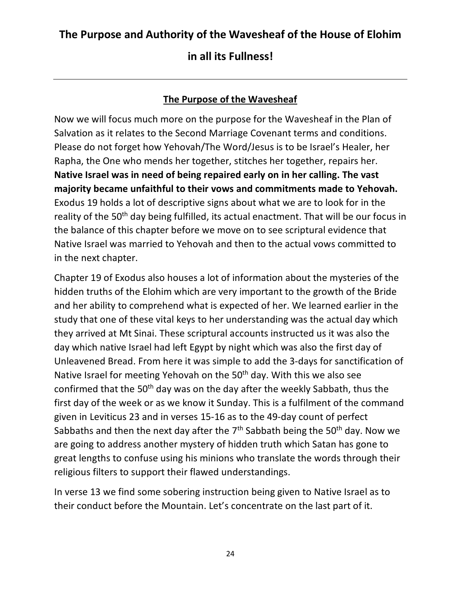#### **in all its Fullness!**

#### **The Purpose of the Wavesheaf**

Now we will focus much more on the purpose for the Wavesheaf in the Plan of Salvation as it relates to the Second Marriage Covenant terms and conditions. Please do not forget how Yehovah/The Word/Jesus is to be Israel's Healer, her Rapha, the One who mends her together, stitches her together, repairs her. **Native Israel was in need of being repaired early on in her calling. The vast majority became unfaithful to their vows and commitments made to Yehovah.** Exodus 19 holds a lot of descriptive signs about what we are to look for in the reality of the 50<sup>th</sup> day being fulfilled, its actual enactment. That will be our focus in the balance of this chapter before we move on to see scriptural evidence that Native Israel was married to Yehovah and then to the actual vows committed to in the next chapter.

Chapter 19 of Exodus also houses a lot of information about the mysteries of the hidden truths of the Elohim which are very important to the growth of the Bride and her ability to comprehend what is expected of her. We learned earlier in the study that one of these vital keys to her understanding was the actual day which they arrived at Mt Sinai. These scriptural accounts instructed us it was also the day which native Israel had left Egypt by night which was also the first day of Unleavened Bread. From here it was simple to add the 3-days for sanctification of Native Israel for meeting Yehovah on the 50<sup>th</sup> day. With this we also see confirmed that the 50<sup>th</sup> day was on the day after the weekly Sabbath, thus the first day of the week or as we know it Sunday. This is a fulfilment of the command given in Leviticus 23 and in verses 15-16 as to the 49-day count of perfect Sabbaths and then the next day after the  $7<sup>th</sup>$  Sabbath being the 50<sup>th</sup> day. Now we are going to address another mystery of hidden truth which Satan has gone to great lengths to confuse using his minions who translate the words through their religious filters to support their flawed understandings.

In verse 13 we find some sobering instruction being given to Native Israel as to their conduct before the Mountain. Let's concentrate on the last part of it.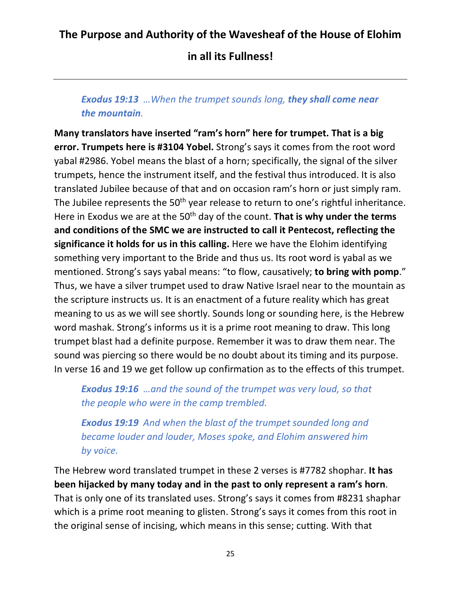**in all its Fullness!**

#### *Exodus 19:13 …When the trumpet sounds long, they shall come near the mountain.*

**Many translators have inserted "ram's horn" here for trumpet. That is a big error. Trumpets here is #3104 Yobel.** Strong's says it comes from the root word yabal #2986. Yobel means the blast of a horn; specifically, the signal of the silver trumpets, hence the instrument itself, and the festival thus introduced. It is also translated Jubilee because of that and on occasion ram's horn or just simply ram. The Jubilee represents the 50<sup>th</sup> year release to return to one's rightful inheritance. Here in Exodus we are at the 50th day of the count. **That is why under the terms and conditions of the SMC we are instructed to call it Pentecost, reflecting the significance it holds for us in this calling.** Here we have the Elohim identifying something very important to the Bride and thus us. Its root word is yabal as we mentioned. Strong's says yabal means: "to flow, causatively; **to bring with pomp**." Thus, we have a silver trumpet used to draw Native Israel near to the mountain as the scripture instructs us. It is an enactment of a future reality which has great meaning to us as we will see shortly. Sounds long or sounding here, is the Hebrew word mashak. Strong's informs us it is a prime root meaning to draw. This long trumpet blast had a definite purpose. Remember it was to draw them near. The sound was piercing so there would be no doubt about its timing and its purpose. In verse 16 and 19 we get follow up confirmation as to the effects of this trumpet.

*Exodus 19:16 …and the sound of the trumpet was very loud, so that the people who were in the camp trembled.*

*Exodus 19:19 And when the blast of the trumpet sounded long and became louder and louder, Moses spoke, and Elohim answered him by voice.*

The Hebrew word translated trumpet in these 2 verses is #7782 shophar. **It has been hijacked by many today and in the past to only represent a ram's horn**. That is only one of its translated uses. Strong's says it comes from #8231 shaphar which is a prime root meaning to glisten. Strong's says it comes from this root in the original sense of incising, which means in this sense; cutting. With that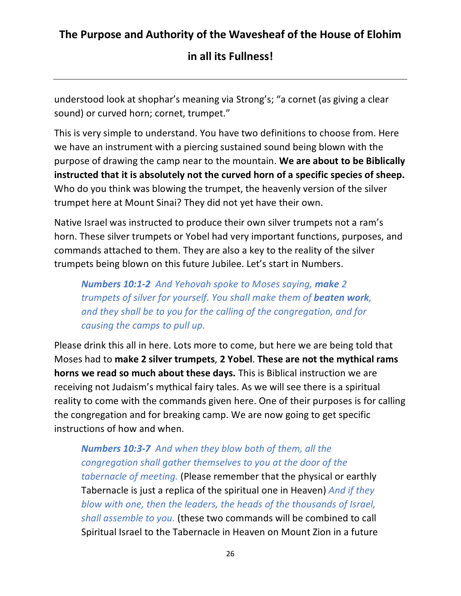**in all its Fullness!**

understood look at shophar's meaning via Strong's; "a cornet (as giving a clear sound) or curved horn; cornet, trumpet."

This is very simple to understand. You have two definitions to choose from. Here we have an instrument with a piercing sustained sound being blown with the purpose of drawing the camp near to the mountain. **We are about to be Biblically instructed that it is absolutely not the curved horn of a specific species of sheep.** Who do you think was blowing the trumpet, the heavenly version of the silver trumpet here at Mount Sinai? They did not yet have their own.

Native Israel was instructed to produce their own silver trumpets not a ram's horn. These silver trumpets or Yobel had very important functions, purposes, and commands attached to them. They are also a key to the reality of the silver trumpets being blown on this future Jubilee. Let's start in Numbers.

*Numbers 10:1-2 And Yehovah spoke to Moses saying, make 2 trumpets of silver for yourself. You shall make them of beaten work, and they shall be to you for the calling of the congregation, and for causing the camps to pull up.*

Please drink this all in here. Lots more to come, but here we are being told that Moses had to **make 2 silver trumpets**, **2 Yobel**. **These are not the mythical rams horns we read so much about these days.** This is Biblical instruction we are receiving not Judaism's mythical fairy tales. As we will see there is a spiritual reality to come with the commands given here. One of their purposes is for calling the congregation and for breaking camp. We are now going to get specific instructions of how and when.

*Numbers 10:3-7 And when they blow both of them, all the congregation shall gather themselves to you at the door of the tabernacle of meeting.* (Please remember that the physical or earthly Tabernacle is just a replica of the spiritual one in Heaven) *And if they blow with one, then the leaders, the heads of the thousands of Israel, shall assemble to you.* (these two commands will be combined to call Spiritual Israel to the Tabernacle in Heaven on Mount Zion in a future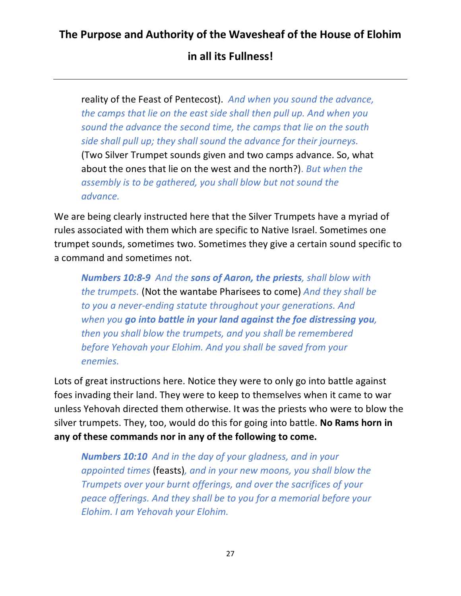**in all its Fullness!**

reality of the Feast of Pentecost). *And when you sound the advance, the camps that lie on the east side shall then pull up. And when you sound the advance the second time, the camps that lie on the south side shall pull up; they shall sound the advance for their journeys.*  (Two Silver Trumpet sounds given and two camps advance. So, what about the ones that lie on the west and the north?). *But when the assembly is to be gathered, you shall blow but not sound the advance.*

We are being clearly instructed here that the Silver Trumpets have a myriad of rules associated with them which are specific to Native Israel. Sometimes one trumpet sounds, sometimes two. Sometimes they give a certain sound specific to a command and sometimes not.

*Numbers 10:8-9 And the sons of Aaron, the priests, shall blow with the trumpets.* (Not the wantabe Pharisees to come) *And they shall be to you a never-ending statute throughout your generations. And when you go into battle in your land against the foe distressing you, then you shall blow the trumpets, and you shall be remembered before Yehovah your Elohim. And you shall be saved from your enemies.*

Lots of great instructions here. Notice they were to only go into battle against foes invading their land. They were to keep to themselves when it came to war unless Yehovah directed them otherwise. It was the priests who were to blow the silver trumpets. They, too, would do this for going into battle. **No Rams horn in any of these commands nor in any of the following to come.**

*Numbers 10:10 And in the day of your gladness, and in your appointed times* (feasts)*, and in your new moons, you shall blow the Trumpets over your burnt offerings, and over the sacrifices of your peace offerings. And they shall be to you for a memorial before your Elohim. I am Yehovah your Elohim.*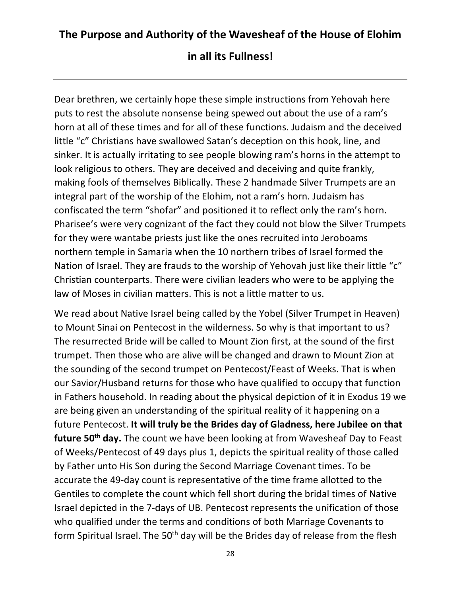Dear brethren, we certainly hope these simple instructions from Yehovah here puts to rest the absolute nonsense being spewed out about the use of a ram's horn at all of these times and for all of these functions. Judaism and the deceived little "c" Christians have swallowed Satan's deception on this hook, line, and sinker. It is actually irritating to see people blowing ram's horns in the attempt to look religious to others. They are deceived and deceiving and quite frankly, making fools of themselves Biblically. These 2 handmade Silver Trumpets are an integral part of the worship of the Elohim, not a ram's horn. Judaism has confiscated the term "shofar" and positioned it to reflect only the ram's horn. Pharisee's were very cognizant of the fact they could not blow the Silver Trumpets for they were wantabe priests just like the ones recruited into Jeroboams northern temple in Samaria when the 10 northern tribes of Israel formed the Nation of Israel. They are frauds to the worship of Yehovah just like their little "c" Christian counterparts. There were civilian leaders who were to be applying the law of Moses in civilian matters. This is not a little matter to us.

We read about Native Israel being called by the Yobel (Silver Trumpet in Heaven) to Mount Sinai on Pentecost in the wilderness. So why is that important to us? The resurrected Bride will be called to Mount Zion first, at the sound of the first trumpet. Then those who are alive will be changed and drawn to Mount Zion at the sounding of the second trumpet on Pentecost/Feast of Weeks. That is when our Savior/Husband returns for those who have qualified to occupy that function in Fathers household. In reading about the physical depiction of it in Exodus 19 we are being given an understanding of the spiritual reality of it happening on a future Pentecost. **It will truly be the Brides day of Gladness, here Jubilee on that future 50th day.** The count we have been looking at from Wavesheaf Day to Feast of Weeks/Pentecost of 49 days plus 1, depicts the spiritual reality of those called by Father unto His Son during the Second Marriage Covenant times. To be accurate the 49-day count is representative of the time frame allotted to the Gentiles to complete the count which fell short during the bridal times of Native Israel depicted in the 7-days of UB. Pentecost represents the unification of those who qualified under the terms and conditions of both Marriage Covenants to form Spiritual Israel. The 50<sup>th</sup> day will be the Brides day of release from the flesh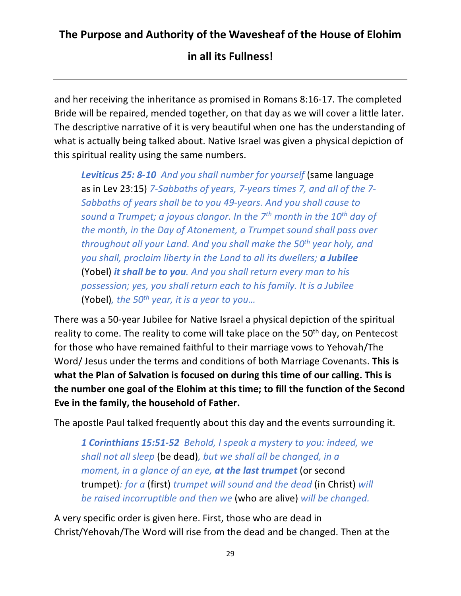and her receiving the inheritance as promised in Romans 8:16-17. The completed Bride will be repaired, mended together, on that day as we will cover a little later. The descriptive narrative of it is very beautiful when one has the understanding of what is actually being talked about. Native Israel was given a physical depiction of this spiritual reality using the same numbers.

*Leviticus 25: 8-10 And you shall number for yourself* (same language as in Lev 23:15) *7-Sabbaths of years, 7-years times 7, and all of the 7- Sabbaths of years shall be to you 49-years. And you shall cause to sound a Trumpet; a joyous clangor. In the 7th month in the 10th day of the month, in the Day of Atonement, a Trumpet sound shall pass over throughout all your Land. And you shall make the 50th year holy, and you shall, proclaim liberty in the Land to all its dwellers; a Jubilee*  (Yobel) *it shall be to you. And you shall return every man to his possession; yes, you shall return each to his family. It is a Jubilee* (Yobel)*, the 50th year, it is a year to you…*

There was a 50-year Jubilee for Native Israel a physical depiction of the spiritual reality to come. The reality to come will take place on the 50<sup>th</sup> day, on Pentecost for those who have remained faithful to their marriage vows to Yehovah/The Word/ Jesus under the terms and conditions of both Marriage Covenants. **This is what the Plan of Salvation is focused on during this time of our calling. This is the number one goal of the Elohim at this time; to fill the function of the Second Eve in the family, the household of Father.** 

The apostle Paul talked frequently about this day and the events surrounding it.

*1 Corinthians 15:51-52 Behold, I speak a mystery to you: indeed, we shall not all sleep* (be dead)*, but we shall all be changed, in a moment, in a glance of an eye, at the last trumpet* (or second trumpet)*: for a* (first) *trumpet will sound and the dead* (in Christ) *will be raised incorruptible and then we* (who are alive) *will be changed.*

A very specific order is given here. First, those who are dead in Christ/Yehovah/The Word will rise from the dead and be changed. Then at the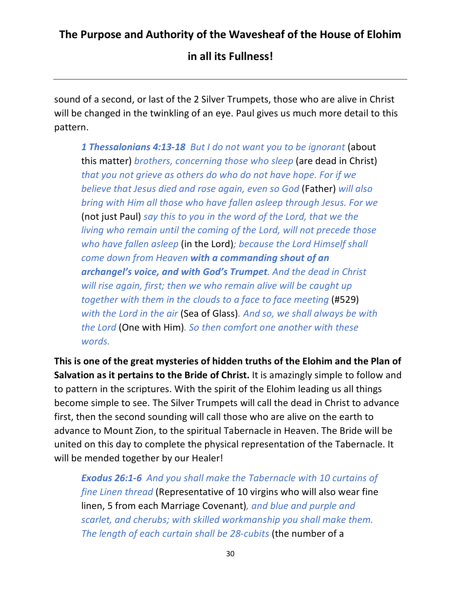**in all its Fullness!**

sound of a second, or last of the 2 Silver Trumpets, those who are alive in Christ will be changed in the twinkling of an eye. Paul gives us much more detail to this pattern.

*1 Thessalonians 4:13-18 But I do not want you to be ignorant* (about this matter) *brothers, concerning those who sleep* (are dead in Christ) *that you not grieve as others do who do not have hope. For if we believe that Jesus died and rose again, even so God* (Father) *will also bring with Him all those who have fallen asleep through Jesus. For we*  (not just Paul) *say this to you in the word of the Lord, that we the living who remain until the coming of the Lord, will not precede those who have fallen asleep* (in the Lord)*; because the Lord Himself shall come down from Heaven with a commanding shout of an archangel's voice, and with God's Trumpet. And the dead in Christ will rise again, first; then we who remain alive will be caught up together with them in the clouds to a face to face meeting* (#529) *with the Lord in the air* (Sea of Glass)*. And so, we shall always be with the Lord* (One with Him)*. So then comfort one another with these words.*

**This is one of the great mysteries of hidden truths of the Elohim and the Plan of Salvation as it pertains to the Bride of Christ.** It is amazingly simple to follow and to pattern in the scriptures. With the spirit of the Elohim leading us all things become simple to see. The Silver Trumpets will call the dead in Christ to advance first, then the second sounding will call those who are alive on the earth to advance to Mount Zion, to the spiritual Tabernacle in Heaven. The Bride will be united on this day to complete the physical representation of the Tabernacle. It will be mended together by our Healer!

*Exodus 26:1-6 And you shall make the Tabernacle with 10 curtains of fine Linen thread* (Representative of 10 virgins who will also wear fine linen, 5 from each Marriage Covenant)*, and blue and purple and scarlet, and cherubs; with skilled workmanship you shall make them. The length of each curtain shall be 28-cubits* (the number of a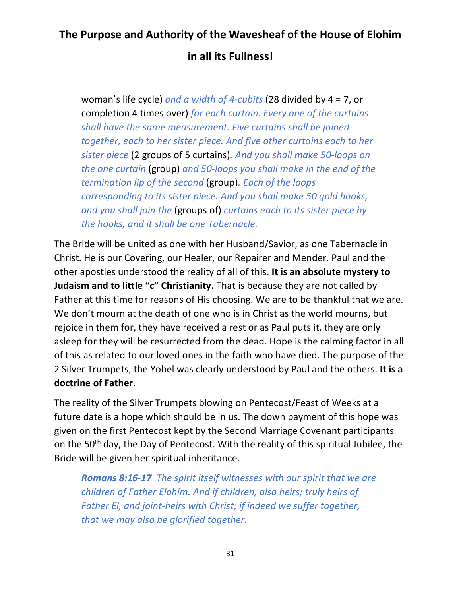woman's life cycle) *and a width of 4-cubits* (28 divided by 4 = 7, or completion 4 times over) *for each curtain. Every one of the curtains shall have the same measurement. Five curtains shall be joined together, each to her sister piece. And five other curtains each to her sister piece* (2 groups of 5 curtains)*. And you shall make 50-loops on the one curtain* (group) *and 50-loops you shall make in the end of the termination lip of the second* (group)*. Each of the loops corresponding to its sister piece. And you shall make 50 gold hooks, and you shall join the* (groups of) *curtains each to its sister piece by the hooks, and it shall be one Tabernacle.*

The Bride will be united as one with her Husband/Savior, as one Tabernacle in Christ. He is our Covering, our Healer, our Repairer and Mender. Paul and the other apostles understood the reality of all of this. **It is an absolute mystery to Judaism and to little "c" Christianity.** That is because they are not called by Father at this time for reasons of His choosing. We are to be thankful that we are. We don't mourn at the death of one who is in Christ as the world mourns, but rejoice in them for, they have received a rest or as Paul puts it, they are only asleep for they will be resurrected from the dead. Hope is the calming factor in all of this as related to our loved ones in the faith who have died. The purpose of the 2 Silver Trumpets, the Yobel was clearly understood by Paul and the others. **It is a doctrine of Father.**

The reality of the Silver Trumpets blowing on Pentecost/Feast of Weeks at a future date is a hope which should be in us. The down payment of this hope was given on the first Pentecost kept by the Second Marriage Covenant participants on the 50<sup>th</sup> day, the Day of Pentecost. With the reality of this spiritual Jubilee, the Bride will be given her spiritual inheritance.

*Romans 8:16-17 The spirit itself witnesses with our spirit that we are children of Father Elohim. And if children, also heirs; truly heirs of Father El, and joint-heirs with Christ; if indeed we suffer together, that we may also be glorified together.*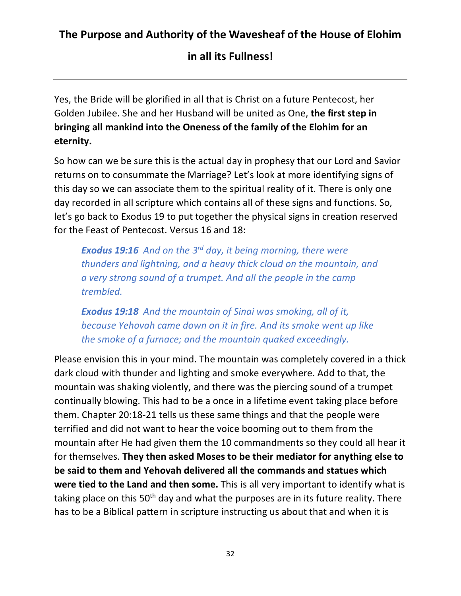**in all its Fullness!**

Yes, the Bride will be glorified in all that is Christ on a future Pentecost, her Golden Jubilee. She and her Husband will be united as One, **the first step in bringing all mankind into the Oneness of the family of the Elohim for an eternity.**

So how can we be sure this is the actual day in prophesy that our Lord and Savior returns on to consummate the Marriage? Let's look at more identifying signs of this day so we can associate them to the spiritual reality of it. There is only one day recorded in all scripture which contains all of these signs and functions. So, let's go back to Exodus 19 to put together the physical signs in creation reserved for the Feast of Pentecost. Versus 16 and 18:

*Exodus 19:16 And on the 3rd day, it being morning, there were thunders and lightning, and a heavy thick cloud on the mountain, and a very strong sound of a trumpet. And all the people in the camp trembled.* 

*Exodus 19:18 And the mountain of Sinai was smoking, all of it, because Yehovah came down on it in fire. And its smoke went up like the smoke of a furnace; and the mountain quaked exceedingly.*

Please envision this in your mind. The mountain was completely covered in a thick dark cloud with thunder and lighting and smoke everywhere. Add to that, the mountain was shaking violently, and there was the piercing sound of a trumpet continually blowing. This had to be a once in a lifetime event taking place before them. Chapter 20:18-21 tells us these same things and that the people were terrified and did not want to hear the voice booming out to them from the mountain after He had given them the 10 commandments so they could all hear it for themselves. **They then asked Moses to be their mediator for anything else to be said to them and Yehovah delivered all the commands and statues which were tied to the Land and then some.** This is all very important to identify what is taking place on this  $50<sup>th</sup>$  day and what the purposes are in its future reality. There has to be a Biblical pattern in scripture instructing us about that and when it is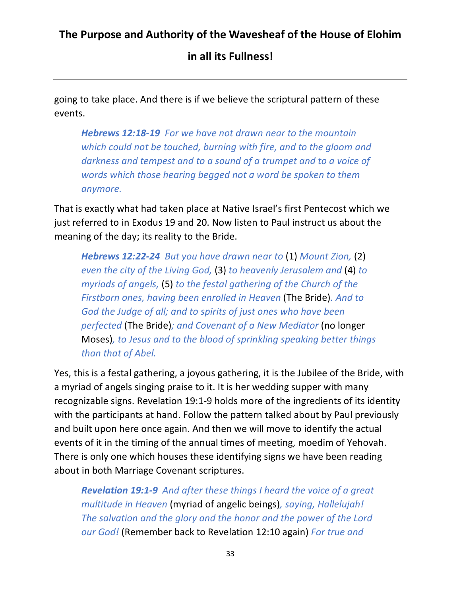**in all its Fullness!**

going to take place. And there is if we believe the scriptural pattern of these events.

*Hebrews 12:18-19 For we have not drawn near to the mountain which could not be touched, burning with fire, and to the gloom and darkness and tempest and to a sound of a trumpet and to a voice of words which those hearing begged not a word be spoken to them anymore.*

That is exactly what had taken place at Native Israel's first Pentecost which we just referred to in Exodus 19 and 20. Now listen to Paul instruct us about the meaning of the day; its reality to the Bride.

*Hebrews 12:22-24 But you have drawn near to* (1) *Mount Zion,* (2) *even the city of the Living God,* (3) *to heavenly Jerusalem and* (4) *to myriads of angels,* (5) *to the festal gathering of the Church of the Firstborn ones, having been enrolled in Heaven* (The Bride)*. And to God the Judge of all; and to spirits of just ones who have been perfected* (The Bride)*; and Covenant of a New Mediator* (no longer Moses)*, to Jesus and to the blood of sprinkling speaking better things than that of Abel.*

Yes, this is a festal gathering, a joyous gathering, it is the Jubilee of the Bride, with a myriad of angels singing praise to it. It is her wedding supper with many recognizable signs. Revelation 19:1-9 holds more of the ingredients of its identity with the participants at hand. Follow the pattern talked about by Paul previously and built upon here once again. And then we will move to identify the actual events of it in the timing of the annual times of meeting, moedim of Yehovah. There is only one which houses these identifying signs we have been reading about in both Marriage Covenant scriptures.

*Revelation 19:1-9 And after these things I heard the voice of a great multitude in Heaven* (myriad of angelic beings)*, saying, Hallelujah! The salvation and the glory and the honor and the power of the Lord our God!* (Remember back to Revelation 12:10 again) *For true and*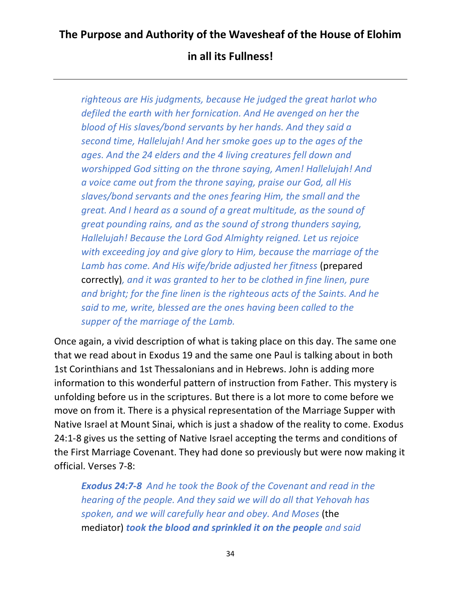*righteous are His judgments, because He judged the great harlot who defiled the earth with her fornication. And He avenged on her the blood of His slaves/bond servants by her hands. And they said a second time, Hallelujah! And her smoke goes up to the ages of the ages. And the 24 elders and the 4 living creatures fell down and worshipped God sitting on the throne saying, Amen! Hallelujah! And a voice came out from the throne saying, praise our God, all His slaves/bond servants and the ones fearing Him, the small and the great. And I heard as a sound of a great multitude, as the sound of great pounding rains, and as the sound of strong thunders saying, Hallelujah! Because the Lord God Almighty reigned. Let us rejoice with exceeding joy and give glory to Him, because the marriage of the Lamb has come. And His wife/bride adjusted her fitness* (prepared correctly)*, and it was granted to her to be clothed in fine linen, pure and bright; for the fine linen is the righteous acts of the Saints. And he said to me, write, blessed are the ones having been called to the supper of the marriage of the Lamb.*

Once again, a vivid description of what is taking place on this day. The same one that we read about in Exodus 19 and the same one Paul is talking about in both 1st Corinthians and 1st Thessalonians and in Hebrews. John is adding more information to this wonderful pattern of instruction from Father. This mystery is unfolding before us in the scriptures. But there is a lot more to come before we move on from it. There is a physical representation of the Marriage Supper with Native Israel at Mount Sinai, which is just a shadow of the reality to come. Exodus 24:1-8 gives us the setting of Native Israel accepting the terms and conditions of the First Marriage Covenant. They had done so previously but were now making it official. Verses 7-8:

*Exodus 24:7-8 And he took the Book of the Covenant and read in the hearing of the people. And they said we will do all that Yehovah has spoken, and we will carefully hear and obey. And Moses* (the mediator) *took the blood and sprinkled it on the people and said*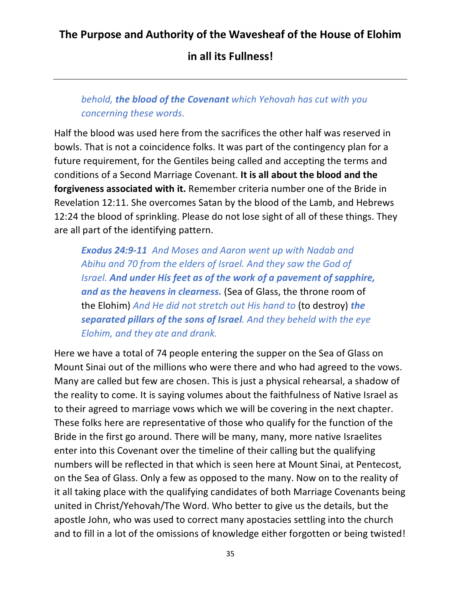#### **in all its Fullness!**

#### *behold, the blood of the Covenant which Yehovah has cut with you concerning these words.*

Half the blood was used here from the sacrifices the other half was reserved in bowls. That is not a coincidence folks. It was part of the contingency plan for a future requirement, for the Gentiles being called and accepting the terms and conditions of a Second Marriage Covenant. **It is all about the blood and the forgiveness associated with it.** Remember criteria number one of the Bride in Revelation 12:11. She overcomes Satan by the blood of the Lamb, and Hebrews 12:24 the blood of sprinkling. Please do not lose sight of all of these things. They are all part of the identifying pattern.

*Exodus 24:9-11 And Moses and Aaron went up with Nadab and Abihu and 70 from the elders of Israel. And they saw the God of Israel. And under His feet as of the work of a pavement of sapphire, and as the heavens in clearness.* (Sea of Glass, the throne room of the Elohim) *And He did not stretch out His hand to* (to destroy) *the separated pillars of the sons of Israel. And they beheld with the eye Elohim, and they ate and drank.*

Here we have a total of 74 people entering the supper on the Sea of Glass on Mount Sinai out of the millions who were there and who had agreed to the vows. Many are called but few are chosen. This is just a physical rehearsal, a shadow of the reality to come. It is saying volumes about the faithfulness of Native Israel as to their agreed to marriage vows which we will be covering in the next chapter. These folks here are representative of those who qualify for the function of the Bride in the first go around. There will be many, many, more native Israelites enter into this Covenant over the timeline of their calling but the qualifying numbers will be reflected in that which is seen here at Mount Sinai, at Pentecost, on the Sea of Glass. Only a few as opposed to the many. Now on to the reality of it all taking place with the qualifying candidates of both Marriage Covenants being united in Christ/Yehovah/The Word. Who better to give us the details, but the apostle John, who was used to correct many apostacies settling into the church and to fill in a lot of the omissions of knowledge either forgotten or being twisted!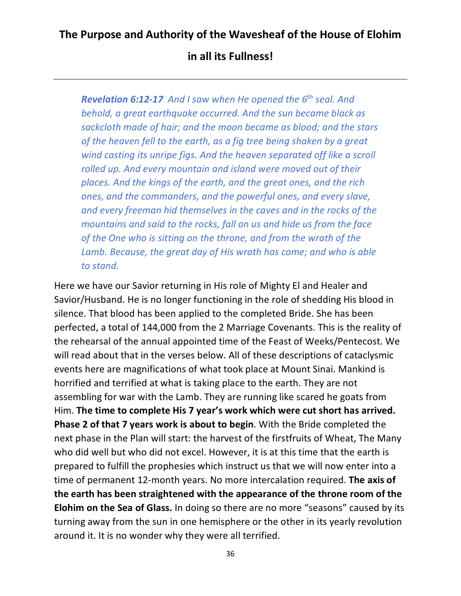*Revelation 6:12-17 And I saw when He opened the 6th seal. And behold, a great earthquake occurred. And the sun became black as sackcloth made of hair; and the moon became as blood; and the stars of the heaven fell to the earth, as a fig tree being shaken by a great wind casting its unripe figs. And the heaven separated off like a scroll rolled up. And every mountain and island were moved out of their places. And the kings of the earth, and the great ones, and the rich ones, and the commanders, and the powerful ones, and every slave, and every freeman hid themselves in the caves and in the rocks of the mountains and said to the rocks, fall on us and hide us from the face of the One who is sitting on the throne, and from the wrath of the Lamb. Because, the great day of His wrath has come; and who is able to stand.*

Here we have our Savior returning in His role of Mighty El and Healer and Savior/Husband. He is no longer functioning in the role of shedding His blood in silence. That blood has been applied to the completed Bride. She has been perfected, a total of 144,000 from the 2 Marriage Covenants. This is the reality of the rehearsal of the annual appointed time of the Feast of Weeks/Pentecost. We will read about that in the verses below. All of these descriptions of cataclysmic events here are magnifications of what took place at Mount Sinai. Mankind is horrified and terrified at what is taking place to the earth. They are not assembling for war with the Lamb. They are running like scared he goats from Him. **The time to complete His 7 year's work which were cut short has arrived. Phase 2 of that 7 years work is about to begin**. With the Bride completed the next phase in the Plan will start: the harvest of the firstfruits of Wheat, The Many who did well but who did not excel. However, it is at this time that the earth is prepared to fulfill the prophesies which instruct us that we will now enter into a time of permanent 12-month years. No more intercalation required. **The axis of the earth has been straightened with the appearance of the throne room of the Elohim on the Sea of Glass.** In doing so there are no more "seasons" caused by its turning away from the sun in one hemisphere or the other in its yearly revolution around it. It is no wonder why they were all terrified.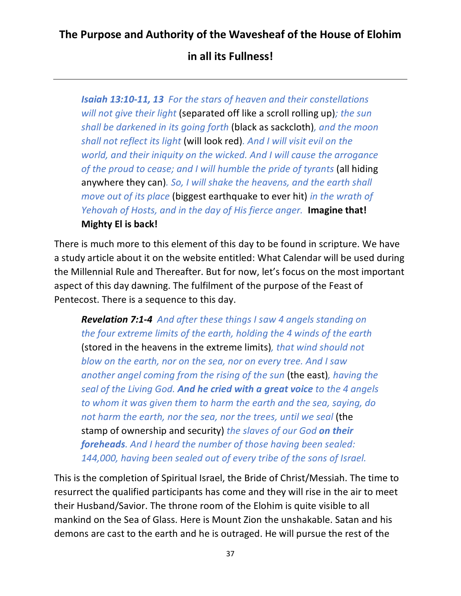**in all its Fullness!**

*Isaiah 13:10-11, 13 For the stars of heaven and their constellations will not give their light* (separated off like a scroll rolling up)*; the sun shall be darkened in its going forth* (black as sackcloth)*, and the moon shall not reflect its light* (will look red)*. And I will visit evil on the world, and their iniquity on the wicked. And I will cause the arrogance of the proud to cease; and I will humble the pride of tyrants* (all hiding anywhere they can)*. So, I will shake the heavens, and the earth shall move out of its place* (biggest earthquake to ever hit) *in the wrath of Yehovah of Hosts, and in the day of His fierce anger.* **Imagine that! Mighty El is back!**

There is much more to this element of this day to be found in scripture. We have a study article about it on the website entitled: What Calendar will be used during the Millennial Rule and Thereafter. But for now, let's focus on the most important aspect of this day dawning. The fulfilment of the purpose of the Feast of Pentecost. There is a sequence to this day.

*Revelation 7:1-4 And after these things I saw 4 angels standing on the four extreme limits of the earth, holding the 4 winds of the earth* (stored in the heavens in the extreme limits)*, that wind should not blow on the earth, nor on the sea, nor on every tree. And I saw another angel coming from the rising of the sun* (the east)*, having the seal of the Living God. And he cried with a great voice to the 4 angels to whom it was given them to harm the earth and the sea, saying, do not harm the earth, nor the sea, nor the trees, until we seal* (the stamp of ownership and security) *the slaves of our God on their foreheads. And I heard the number of those having been sealed: 144,000, having been sealed out of every tribe of the sons of Israel.*

This is the completion of Spiritual Israel, the Bride of Christ/Messiah. The time to resurrect the qualified participants has come and they will rise in the air to meet their Husband/Savior. The throne room of the Elohim is quite visible to all mankind on the Sea of Glass. Here is Mount Zion the unshakable. Satan and his demons are cast to the earth and he is outraged. He will pursue the rest of the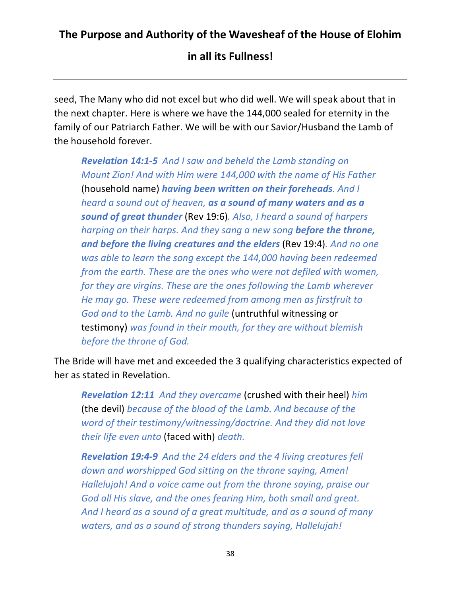seed, The Many who did not excel but who did well. We will speak about that in the next chapter. Here is where we have the 144,000 sealed for eternity in the family of our Patriarch Father. We will be with our Savior/Husband the Lamb of the household forever.

*Revelation 14:1-5 And I saw and beheld the Lamb standing on Mount Zion! And with Him were 144,000 with the name of His Father*  (household name) *having been written on their foreheads. And I heard a sound out of heaven, as a sound of many waters and as a sound of great thunder* (Rev 19:6)*. Also, I heard a sound of harpers harping on their harps. And they sang a new song before the throne, and before the living creatures and the elders* (Rev 19:4)*. And no one was able to learn the song except the 144,000 having been redeemed from the earth. These are the ones who were not defiled with women, for they are virgins. These are the ones following the Lamb wherever He may go. These were redeemed from among men as firstfruit to God and to the Lamb. And no guile* (untruthful witnessing or testimony) *was found in their mouth, for they are without blemish before the throne of God.*

The Bride will have met and exceeded the 3 qualifying characteristics expected of her as stated in Revelation.

*Revelation 12:11 And they overcame* (crushed with their heel) *him*  (the devil) *because of the blood of the Lamb. And because of the word of their testimony/witnessing/doctrine. And they did not love their life even unto* (faced with) *death.*

*Revelation 19:4-9 And the 24 elders and the 4 living creatures fell down and worshipped God sitting on the throne saying, Amen! Hallelujah! And a voice came out from the throne saying, praise our God all His slave, and the ones fearing Him, both small and great. And I heard as a sound of a great multitude, and as a sound of many waters, and as a sound of strong thunders saying, Hallelujah!*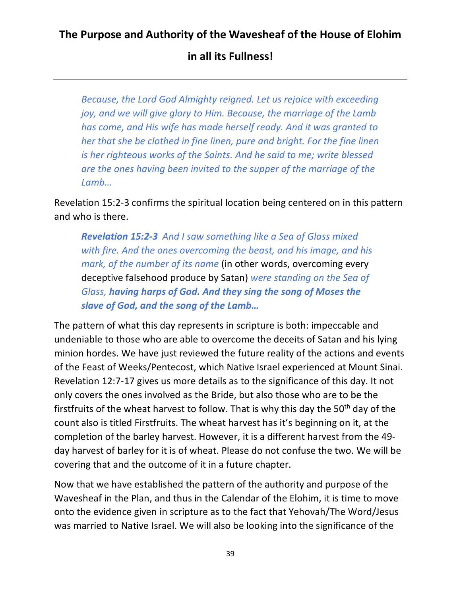*Because, the Lord God Almighty reigned. Let us rejoice with exceeding joy, and we will give glory to Him. Because, the marriage of the Lamb has come, and His wife has made herself ready. And it was granted to her that she be clothed in fine linen, pure and bright. For the fine linen is her righteous works of the Saints. And he said to me; write blessed are the ones having been invited to the supper of the marriage of the Lamb…*

Revelation 15:2-3 confirms the spiritual location being centered on in this pattern and who is there.

*Revelation 15:2-3 And I saw something like a Sea of Glass mixed with fire. And the ones overcoming the beast, and his image, and his mark, of the number of its name* (in other words, overcoming every deceptive falsehood produce by Satan) *were standing on the Sea of Glass, having harps of God. And they sing the song of Moses the slave of God, and the song of the Lamb…*

The pattern of what this day represents in scripture is both: impeccable and undeniable to those who are able to overcome the deceits of Satan and his lying minion hordes. We have just reviewed the future reality of the actions and events of the Feast of Weeks/Pentecost, which Native Israel experienced at Mount Sinai. Revelation 12:7-17 gives us more details as to the significance of this day. It not only covers the ones involved as the Bride, but also those who are to be the firstfruits of the wheat harvest to follow. That is why this day the  $50<sup>th</sup>$  day of the count also is titled Firstfruits. The wheat harvest has it's beginning on it, at the completion of the barley harvest. However, it is a different harvest from the 49 day harvest of barley for it is of wheat. Please do not confuse the two. We will be covering that and the outcome of it in a future chapter.

Now that we have established the pattern of the authority and purpose of the Wavesheaf in the Plan, and thus in the Calendar of the Elohim, it is time to move onto the evidence given in scripture as to the fact that Yehovah/The Word/Jesus was married to Native Israel. We will also be looking into the significance of the